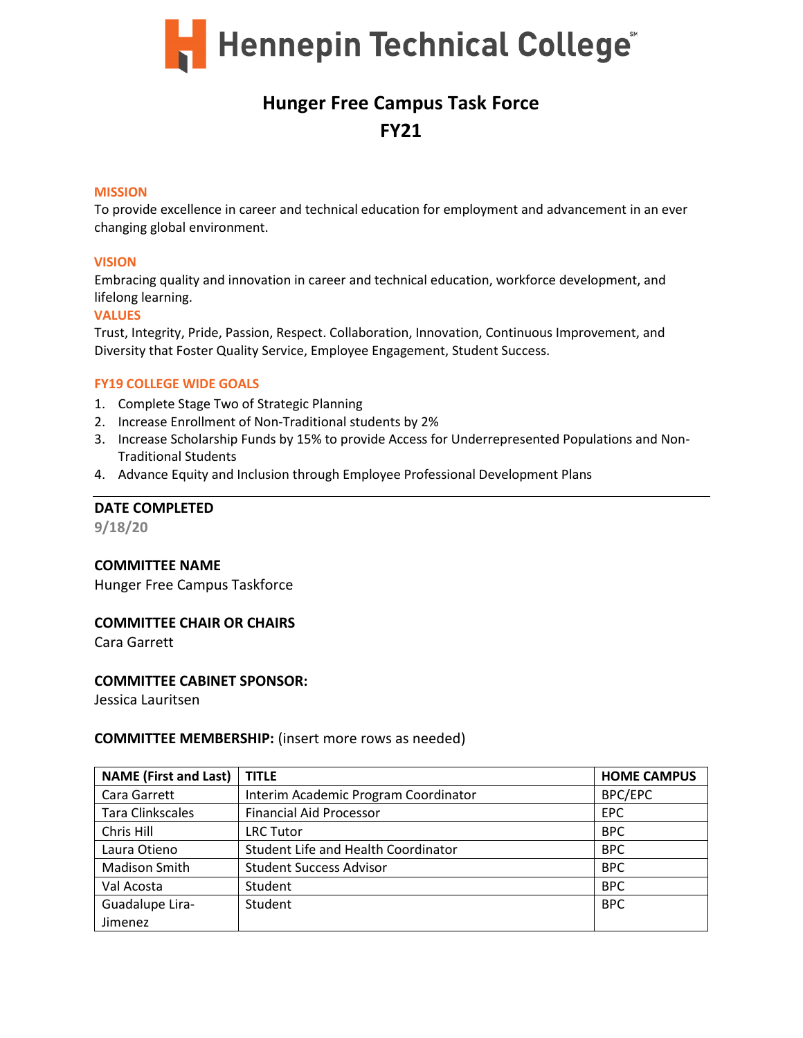

# **Hunger Free Campus Task Force FY21**

#### **MISSION**

To provide excellence in career and technical education for employment and advancement in an ever changing global environment.

#### **VISION**

Embracing quality and innovation in career and technical education, workforce development, and lifelong learning.

#### **VALUES**

Trust, Integrity, Pride, Passion, Respect. Collaboration, Innovation, Continuous Improvement, and Diversity that Foster Quality Service, Employee Engagement, Student Success.

#### **FY19 COLLEGE WIDE GOALS**

- 1. Complete Stage Two of Strategic Planning
- 2. Increase Enrollment of Non-Traditional students by 2%
- 3. Increase Scholarship Funds by 15% to provide Access for Underrepresented Populations and Non-Traditional Students
- 4. Advance Equity and Inclusion through Employee Professional Development Plans

# **DATE COMPLETED**

**9/18/20**

# **COMMITTEE NAME**

Hunger Free Campus Taskforce

# **COMMITTEE CHAIR OR CHAIRS**

Cara Garrett

# **COMMITTEE CABINET SPONSOR:**

Jessica Lauritsen

# **COMMITTEE MEMBERSHIP:** (insert more rows as needed)

| <b>NAME (First and Last)</b> | <b>TITLE</b>                         | <b>HOME CAMPUS</b> |
|------------------------------|--------------------------------------|--------------------|
| Cara Garrett                 | Interim Academic Program Coordinator | <b>BPC/EPC</b>     |
| <b>Tara Clinkscales</b>      | <b>Financial Aid Processor</b>       | <b>EPC</b>         |
| Chris Hill                   | LRC Tutor                            | <b>BPC</b>         |
| Laura Otieno                 | Student Life and Health Coordinator  | <b>BPC</b>         |
| <b>Madison Smith</b>         | <b>Student Success Advisor</b>       | <b>BPC</b>         |
| Val Acosta                   | Student                              | <b>BPC</b>         |
| Guadalupe Lira-              | Student                              | <b>BPC</b>         |
| Jimenez                      |                                      |                    |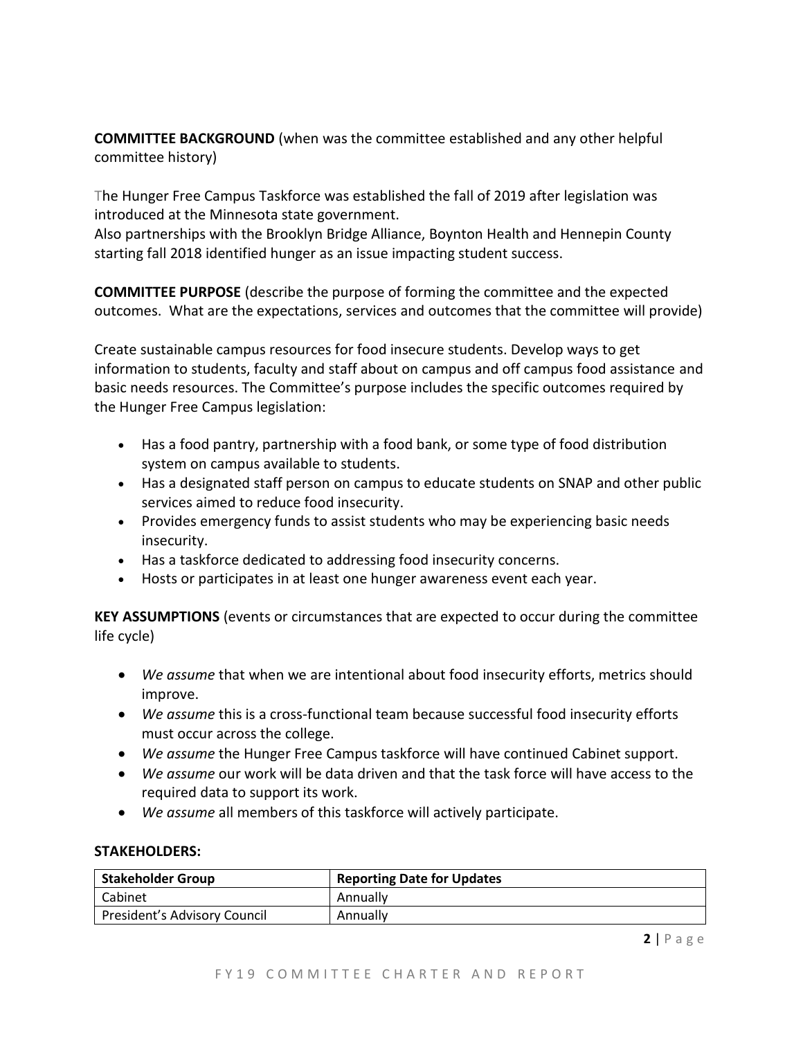**COMMITTEE BACKGROUND** (when was the committee established and any other helpful committee history)

The Hunger Free Campus Taskforce was established the fall of 2019 after legislation was introduced at the Minnesota state government.

Also partnerships with the Brooklyn Bridge Alliance, Boynton Health and Hennepin County starting fall 2018 identified hunger as an issue impacting student success.

**COMMITTEE PURPOSE** (describe the purpose of forming the committee and the expected outcomes. What are the expectations, services and outcomes that the committee will provide)

Create sustainable campus resources for food insecure students. Develop ways to get information to students, faculty and staff about on campus and off campus food assistance and basic needs resources. The Committee's purpose includes the specific outcomes required by the Hunger Free Campus legislation:

- Has a food pantry, partnership with a food bank, or some type of food distribution system on campus available to students.
- Has a designated staff person on campus to educate students on SNAP and other public services aimed to reduce food insecurity.
- Provides emergency funds to assist students who may be experiencing basic needs insecurity.
- Has a taskforce dedicated to addressing food insecurity concerns.
- Hosts or participates in at least one hunger awareness event each year.

**KEY ASSUMPTIONS** (events or circumstances that are expected to occur during the committee life cycle)

- *We assume* that when we are intentional about food insecurity efforts, metrics should improve.
- *We assume* this is a cross-functional team because successful food insecurity efforts must occur across the college.
- *We assume* the Hunger Free Campus taskforce will have continued Cabinet support.
- *We assume* our work will be data driven and that the task force will have access to the required data to support its work.
- *We assume* all members of this taskforce will actively participate.

# **STAKEHOLDERS:**

| <b>Stakeholder Group</b>     | <b>Reporting Date for Updates</b> |
|------------------------------|-----------------------------------|
| l Cabinet                    | Annually                          |
| President's Advisory Council | Annually                          |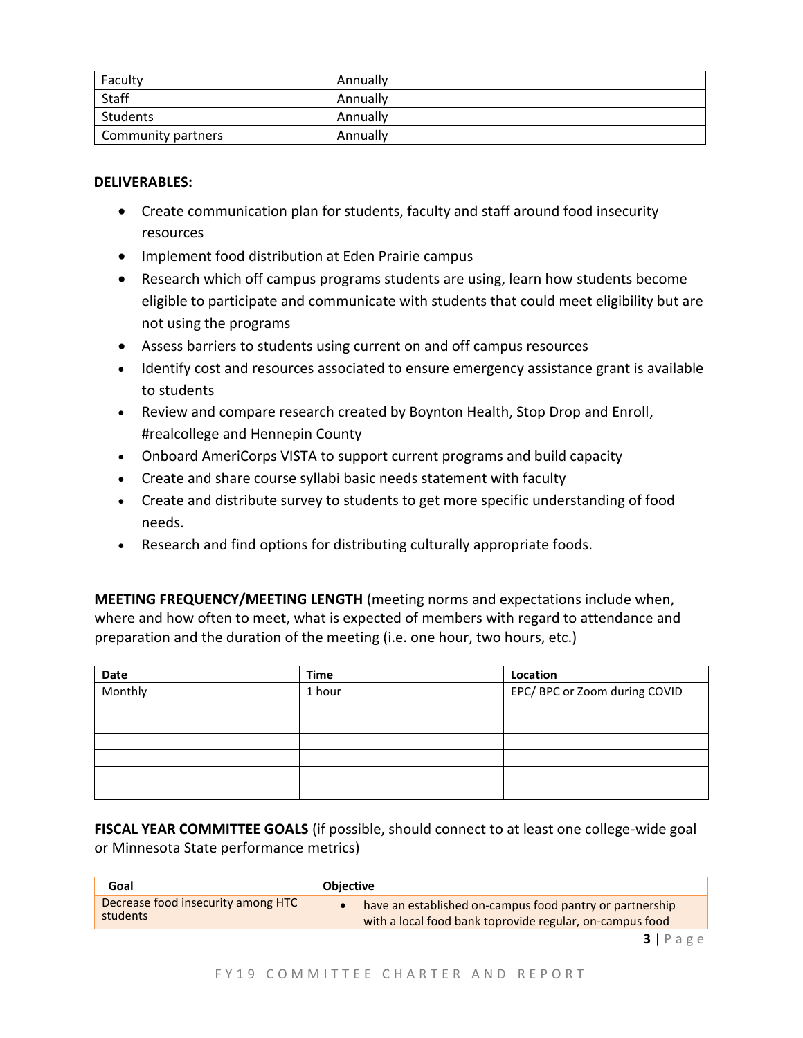| Faculty            | Annually |
|--------------------|----------|
| Staff              | Annually |
| Students           | Annually |
| Community partners | Annually |

# **DELIVERABLES:**

- Create communication plan for students, faculty and staff around food insecurity resources
- Implement food distribution at Eden Prairie campus
- Research which off campus programs students are using, learn how students become eligible to participate and communicate with students that could meet eligibility but are not using the programs
- Assess barriers to students using current on and off campus resources
- Identify cost and resources associated to ensure emergency assistance grant is available to students
- Review and compare research created by Boynton Health, Stop Drop and Enroll, #realcollege and Hennepin County
- Onboard AmeriCorps VISTA to support current programs and build capacity
- Create and share course syllabi basic needs statement with faculty
- Create and distribute survey to students to get more specific understanding of food needs.
- Research and find options for distributing culturally appropriate foods.

**MEETING FREQUENCY/MEETING LENGTH** (meeting norms and expectations include when, where and how often to meet, what is expected of members with regard to attendance and preparation and the duration of the meeting (i.e. one hour, two hours, etc.)

| <b>Date</b> | <b>Time</b> | Location                      |
|-------------|-------------|-------------------------------|
| Monthly     | 1 hour      | EPC/ BPC or Zoom during COVID |
|             |             |                               |
|             |             |                               |
|             |             |                               |
|             |             |                               |
|             |             |                               |
|             |             |                               |

**FISCAL YEAR COMMITTEE GOALS** (if possible, should connect to at least one college-wide goal or Minnesota State performance metrics)

| Goal                               | <b>Objective</b>                                         |
|------------------------------------|----------------------------------------------------------|
| Decrease food insecurity among HTC | have an established on-campus food pantry or partnership |
| students                           | with a local food bank toprovide regular, on-campus food |